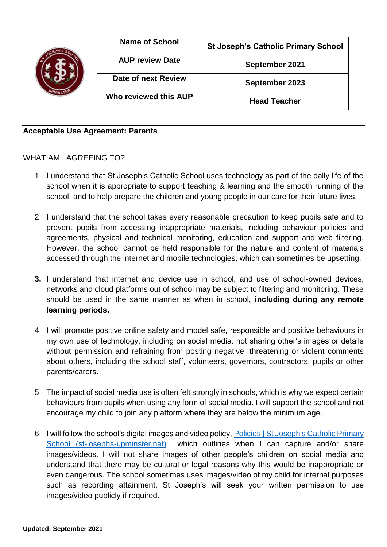|  | <b>Name of School</b>  | <b>St Joseph's Catholic Primary School</b> |
|--|------------------------|--------------------------------------------|
|  | <b>AUP review Date</b> | September 2021                             |
|  | Date of next Review    | September 2023                             |
|  | Who reviewed this AUP  | <b>Head Teacher</b>                        |

## **Acceptable Use Agreement: Parents**

## WHAT AM I AGREEING TO?

- 1. I understand that St Joseph's Catholic School uses technology as part of the daily life of the school when it is appropriate to support teaching & learning and the smooth running of the school, and to help prepare the children and young people in our care for their future lives.
- 2. I understand that the school takes every reasonable precaution to keep pupils safe and to prevent pupils from accessing inappropriate materials, including behaviour policies and agreements, physical and technical monitoring, education and support and web filtering. However, the school cannot be held responsible for the nature and content of materials accessed through the internet and mobile technologies, which can sometimes be upsetting.
- **3.** I understand that internet and device use in school, and use of school-owned devices, networks and cloud platforms out of school may be subject to filtering and monitoring. These should be used in the same manner as when in school, **including during any remote learning periods.**
- 4. I will promote positive online safety and model safe, responsible and positive behaviours in my own use of technology, including on social media: not sharing other's images or details without permission and refraining from posting negative, threatening or violent comments about others, including the school staff, volunteers, governors, contractors, pupils or other parents/carers.
- 5. The impact of social media use is often felt strongly in schools, which is why we expect certain behaviours from pupils when using any form of social media. I will support the school and not encourage my child to join any platform where they are below the minimum age.
- 6. I will follow the school's digital images and video policy, [Policies | St Joseph's Catholic Primary](http://www.st-josephs-upminster.net/about-the-school/policies-and-downloads/)  [School \(st-josephs-upminster.net\)](http://www.st-josephs-upminster.net/about-the-school/policies-and-downloads/) which outlines when I can capture and/or share images/videos. I will not share images of other people's children on social media and understand that there may be cultural or legal reasons why this would be inappropriate or even dangerous. The school sometimes uses images/video of my child for internal purposes such as recording attainment. St Joseph's will seek your written permission to use images/video publicly if required.